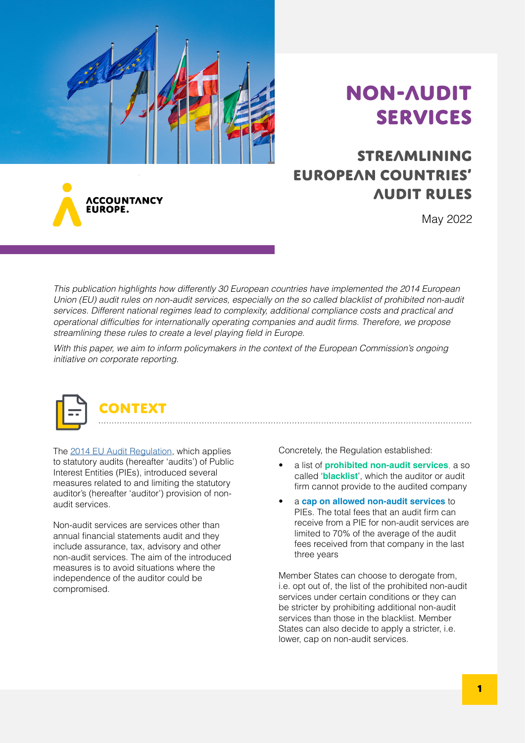

# Non-audit services

## Streamlining European countries' audit rules

**ACCOUNTANCY** LIROPE.

### May 2022

This publication highlights how differently 30 European countries have implemented the 2014 European Union (EU) audit rules on non-audit services, especially on the so called blacklist of prohibited non-audit services. Different national regimes lead to complexity, additional compliance costs and practical and operational difficulties for internationally operating companies and audit firms. Therefore, we propose streamlining these rules to create a level playing field in Europe.

With this paper, we aim to inform policymakers in the context of the European Commission's ongoing initiative on corporate reporting.



The [2014 EU Audit Regulation,](https://eur-lex.europa.eu/legal-content/EN/TXT/?uri=celex%3A32014R0537) which applies to statutory audits (hereafter 'audits') of Public Interest Entities (PIEs), introduced several measures related to and limiting the statutory auditor's (hereafter 'auditor') provision of nonaudit services.

Non-audit services are services other than annual financial statements audit and they include assurance, tax, advisory and other non-audit services. The aim of the introduced measures is to avoid situations where the independence of the auditor could be compromised.

Concretely, the Regulation established:

- a list of **prohibited non-audit services**, a so called '**blacklist**', which the auditor or audit firm cannot provide to the audited company
- a **cap on allowed non-audit services** to PIEs. The total fees that an audit firm can receive from a PIE for non-audit services are limited to 70% of the average of the audit fees received from that company in the last three years

Member States can choose to derogate from, i.e. opt out of, the list of the prohibited non-audit services under certain conditions or they can be stricter by prohibiting additional non-audit services than those in the blacklist. Member States can also decide to apply a stricter, i.e. lower, cap on non-audit services.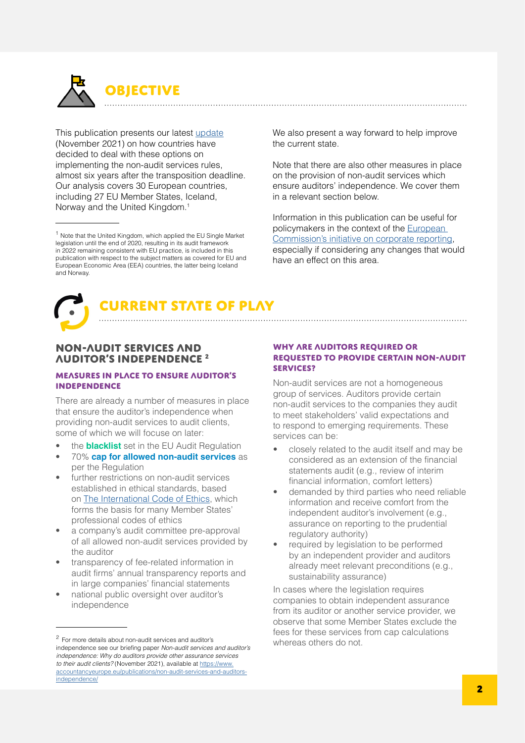

This publication presents our latest [update](https://www.accountancyeurope.eu/publications/1606-new-audit-rules-state-play/) (November 2021) on how countries have decided to deal with these options on implementing the non-audit services rules, almost six years after the transposition deadline. Our analysis covers 30 European countries, including 27 EU Member States, Iceland, Norway and the United Kingdom.<sup>1</sup>

We also present a way forward to help improve the current state.

Note that there are also other measures in place on the provision of non-audit services which ensure auditors' independence. We cover them in a relevant section below.

Information in this publication can be useful for policymakers in the context of the [European](https://ec.europa.eu/info/law/better-regulation/have-your-say/initiatives/13128-Corporate-reporting-improving-its-quality-and-enforcement_sk)  [Commission's initiative on corporate reporting](https://ec.europa.eu/info/law/better-regulation/have-your-say/initiatives/13128-Corporate-reporting-improving-its-quality-and-enforcement_sk), especially if considering any changes that would have an effect on this area.





#### Non-audit services and auditor's independence 2

#### Measures in place to ensure auditor's independence

There are already a number of measures in place that ensure the auditor's independence when providing non-audit services to audit clients, some of which we will focuse on later:

- the **blacklist** set in the EU Audit Regulation
- 70% **cap for allowed non-audit services** as per the Regulation
- further restrictions on non-audit services established in ethical standards, based on [The International Code of Ethics](https://www.ethicsboard.org/standards-pronouncements), which forms the basis for many Member States' professional codes of ethics
- a company's audit committee pre-approval of all allowed non-audit services provided by the auditor
- transparency of fee-related information in audit firms' annual transparency reports and in large companies' financial statements
- national public oversight over auditor's independence

#### WHY ARE AUDITORS REQUIRED OR requested to provide certain non-audit services?

Non-audit services are not a homogeneous group of services. Auditors provide certain non-audit services to the companies they audit to meet stakeholders' valid expectations and to respond to emerging requirements. These services can be:

- closely related to the audit itself and may be considered as an extension of the financial statements audit (e.g., review of interim financial information, comfort letters)
- demanded by third parties who need reliable information and receive comfort from the independent auditor's involvement (e.g., assurance on reporting to the prudential regulatory authority)
- required by legislation to be performed by an independent provider and auditors already meet relevant preconditions (e.g., sustainability assurance)

In cases where the legislation requires companies to obtain independent assurance from its auditor or another service provider, we observe that some Member States exclude the fees for these services from cap calculations

<sup>&</sup>lt;sup>1</sup> Note that the United Kingdom, which applied the EU Single Market legislation until the end of 2020, resulting in its audit framework in 2022 remaining consistent with EU practice, is included in this publication with respect to the subject matters as covered for EU and European Economic Area (EEA) countries, the latter being Iceland and Norway.

<sup>&</sup>lt;sup>2</sup> For more details about non-audit services and auditor's **Example 2** whereas others do not. independence see our briefing paper Non-audit services and auditor's independence: Why do auditors provide other assurance services to their audit clients? (November 2021), available at [https://www.](https://www.accountancyeurope.eu/publications/non-audit-services-and-auditors-independence/) [accountancyeurope.eu/publications/non-audit-services-and-auditors](https://www.accountancyeurope.eu/publications/non-audit-services-and-auditors-independence/)[independence/](https://www.accountancyeurope.eu/publications/non-audit-services-and-auditors-independence/)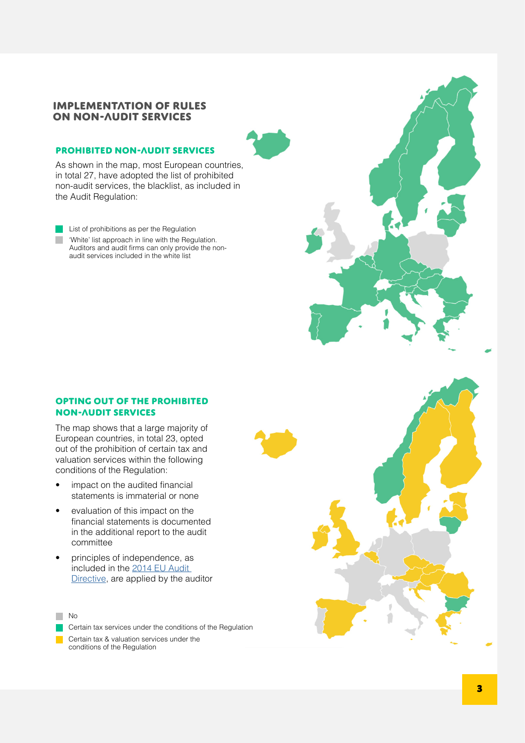#### Implementation of rules on non-audit services

#### PROHIBITED NON-AUDIT SERVICES

As shown in the map, most European countries, in total 27, have adopted the list of prohibited non-audit services, the blacklist, as included in the Audit Regulation:

**List of prohibitions as per the Regulation** 'White' list approach in line with the Regulation. Auditors and audit firms can only provide the nonaudit services included in the white list

#### Opting out of the prohibited non-audit services

The map shows that a large majority of European countries, in total 23, opted out of the prohibition of certain tax and valuation services within the following conditions of the Regulation:

- impact on the audited financial statements is immaterial or none
- evaluation of this impact on the financial statements is documented in the additional report to the audit committee
- principles of independence, as included in the [2014 EU Audit](https://eur-lex.europa.eu/legal-content/EN/TXT/?uri=CELEX:32014L0056)  [Directive](https://eur-lex.europa.eu/legal-content/EN/TXT/?uri=CELEX:32014L0056), are applied by the auditor





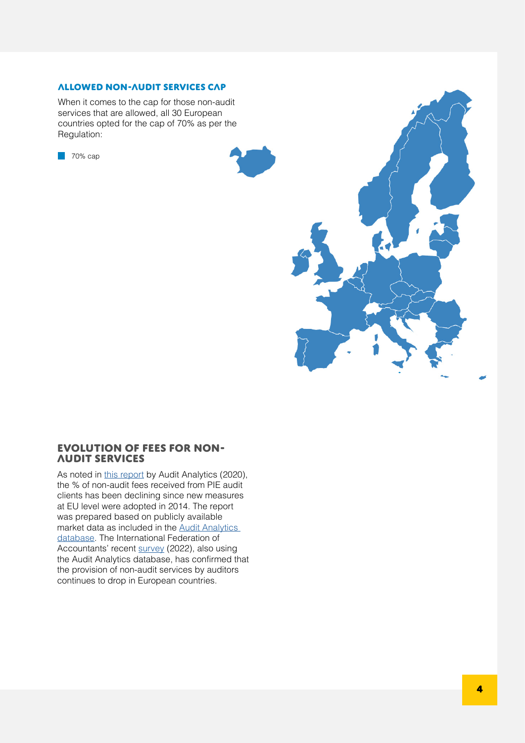#### Allowed non-audit services cap

When it comes to the cap for those non-audit services that are allowed, all 30 European countries opted for the cap of 70% as per the Regulation:

**70% cap** 



#### Evolution of fees for nonaudit services

As noted in [this report](https://www.auditanalytics.com/doc/Monitoring_the_Audit_Market_in_Europe.pdf) by Audit Analytics (2020), the % of non-audit fees received from PIE audit clients has been declining since new measures at EU level were adopted in 2014. The report was prepared based on publicly available market data as included in the [Audit Analytics](https://www.auditanalytics.com/)  [database](https://www.auditanalytics.com/). The International Federation of Accountants' recent [survey](https://www.ifac.org/knowledge-gateway/contributing-global-economy/publications/audit-fees-survey-2022?utm_source=Main+List+New&utm_campaign=340f20c547-IFAC-audit-fees-release-2022&utm_medium=email&utm_term=0_c325307f2b-340f20c547-80674276) (2022), also using the Audit Analytics database, has confirmed that the provision of non-audit services by auditors continues to drop in European countries.